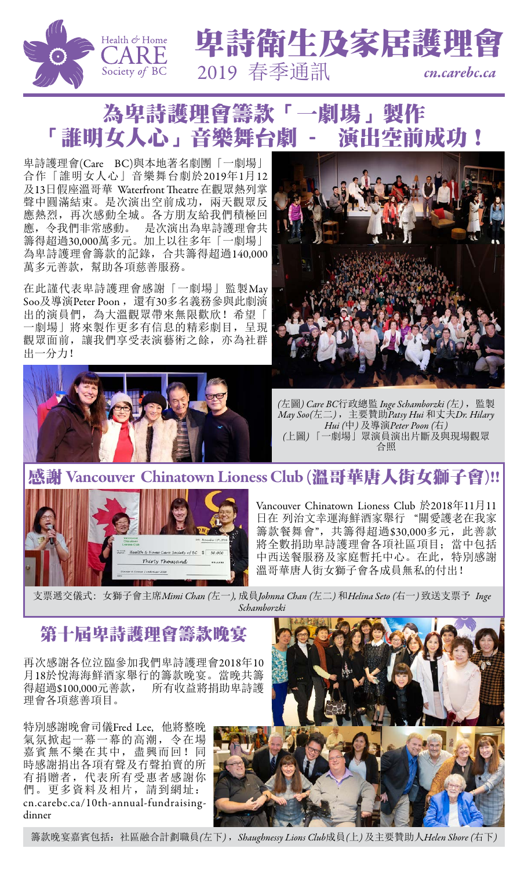







卑詩護理會(Care BC)與本地著名劇團「一劇場」 合作「誰明女人心」音樂舞台劇於2019年1月12 及13日假座溫哥華 Waterfront Theatre 在觀眾熱列掌 聲中圓滿結束。是次演出空前成功,兩天觀眾反 應熱烈,再次感動全城。各方朋友給我們積極回 應,令我們非常感動。 是次演出為卑詩護理會共 籌得超過30,000萬多元。加上以往多年「一劇場」 為卑詩護理會籌款的記錄,合共籌得超過140,000 萬多元善款,幫助各項慈善服務。

在此謹代表卑詩護理會感謝「一劇場」監製May Soo及導演Peter Poon, 還有30多名義務參與此劇演 出的演員們,為大溫觀眾帶來無限歡欣!希望「 一劇場」將來製作更多有信息的精彩劇目,呈現





*(*左圖*) Care BC*行政總監 *Inge Schamborzki (*左*)* ,監製 *May Soo(*左二*)* ,主要贊助*Patsy Hui* 和丈夫*Dr. Hilary Hui (*中*)* 及導演*Peter Poon (*右*) (*上圖*)* 「一劇場」眾演員演出片斷及與現場觀眾 合照

#### Vancouver Chinatown Lioness Club (溫哥華唐人街女獅子會)!!



Vancouver Chinatown Lioness Club 於2018年11月11 日在 列治文幸運海鮮酒家舉行 "關愛護老在我家 籌款餐舞會",共籌得超過\$30,000多元,此善款 將全數捐助卑詩護理會各項社區項目; 當中包括 中西送餐服務及家庭暫托中心。在此,特別感謝 溫哥華唐人街女獅子會各成員無私的付出!

支票遞交儀式: 女獅子會主席*Mimi Chan (*左一*),* 成員*Johnna Chan (*左二*)* 和*Helina Seto (*右一*)* 致送支票予 *Inge Schamborzki*

## 第十屆卑詩護理會籌款晚宴

再次感謝各位泣臨參加我們卑詩護理會2018年10 月18於悅海海鮮酒家舉行的籌款晚宴。當晚共籌 得超過\$100,000元善款, 所有收益將捐助卑詩護 理會各項慈善項目。

特別感謝晚會司儀Fred Lee, 他將整晚 氣氛掀起一幕一幕的高潮,令在場 嘉賓無不樂在其中,盡興而回!同 時感謝捐出各項有聲及冇聲拍賣的所 有捐贈者,代表所有受惠者感謝你 們。更多資料及相片,請到網址: [cn.carebc.ca/10th-annual-fundraising](http://cn.carebc.ca/10th-annual-fundraising-dinner)[dinner](http://cn.carebc.ca/10th-annual-fundraising-dinner)



籌款晚宴嘉賓包括:社區融合計劃職員*(*左下*)* ,*Shaughnessy Lions Club*成員*(*上*)* 及主要贊助人*Helen Shore (*右下*)*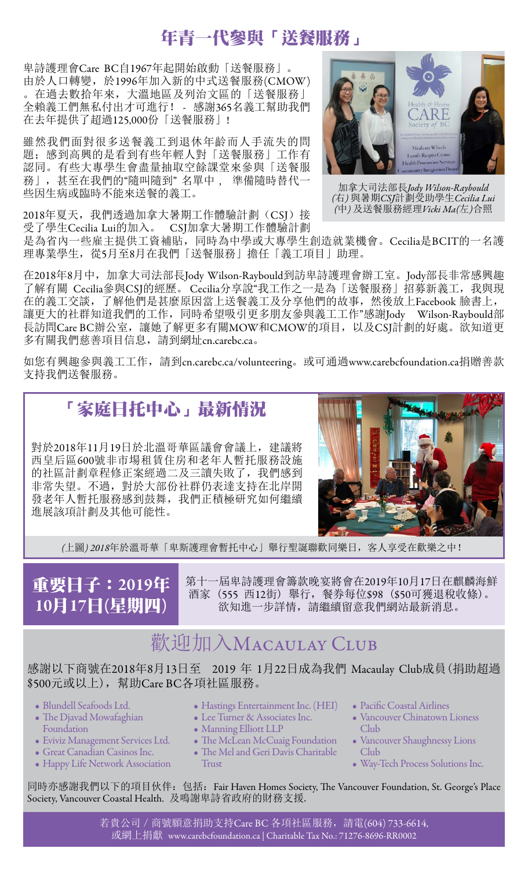# 年青一代參與「送餐服務」

卑詩護理會Care BC自1967年起開始啟動「送餐服務」。 由於人口轉變,於1996年加入新的中式送餐服務(CMOW) 。在過去數拾年來,大溫地區及列治文區的「送餐服務」 全賴義工們無私付出才可進行! - 感謝365名義工幫助我們 在去年提供了超過125,000份「送餐服務」!

雖然我們面對很多送餐義工到退休年齡而人手流失的問 題;感到高興的是看到有些年輕人對「送餐服務」工作有 認同。有些大專學生會盡量抽取空餘課堂來參與「送餐服 務」,甚至在我們的"隨叫隨到" 名單中 , 準備隨時替代一 些因生病或臨時不能來送餐的義工。

2018年夏天,我們透過加拿大暑期工作體驗計劃(CSJ)接 受了學生Cecilia Lui的加入。 CSJ加拿大暑期工作體驗計劃



加拿大司法部長*Jody Wilson-Raybould (*右*)* 與暑期*CSJ*計劃受助學生*Cecilia Lui (*中*)* 及送餐服務經理*Vicki Ma(*左*)*合照

是為省內一些雇主提供工資補貼,同時為中學或大專學生創造就業機會。Cecilia是BCIT的一名護 理專業學生, 從5月至8月在我們「送餐服務」擔任「義工項目」助理。

在2018年8月中, 加拿大司法部長Jody Wilson-Raybould到訪卑詩護理會辦工室。Jody部長非常感興趣 了解有關 Cecilia參與CSJ的經歷。 Cecilia分享說"我工作之一是為「送餐服務」招募新義工, 我與現 在的義工交談,了解他們是甚麼原因當上送餐義工及分享他們的故事,然後放上Facebook 臉書上, 讓更大的社群知道我們的工作,同時希望吸引更多朋友參與義工工作"感謝Jody Wilson-Raybould部 長訪問Care BC辦公室,讓她了解更多有關MOW和CMOW的項目,以及CSJ計劃的好處。欲知道更 多有關我們慈善項目信息,請到網址[cn.carebc.ca](http://cn.carebc.ca)。

如您有興趣參與義工工作,請到[cn.carebc.ca/volunteering](http://cn.carebc.ca/volunteering)。或可通過[www.carebcfoundation.ca](https://www.carebcfoundation.ca)捐贈善款 支持我們送餐服務。

# 「家庭日托中心」最新情況

對於2018年11月19日於北溫哥華區議會會議上,建議將 西皇后區600號非市場租賃住房和老年人暫托服務設施 的社區計劃章程修正案經過二及三讀失敗了,我們感到 非常失望。不過,對於大部份社群仍表達支持在北岸開 發老年人暫托服務感到鼓舞,我們正積極研究如何繼續 進展該項計劃及其他可能性。



*(*上圖*) 2018*年於溫哥華「卑斯護理會暫托中心」舉行聖誕聯歡同樂日,客人享受在歡樂之中!

# 重要日子:2019年 10月17日(星期四)

第十一屆卑詩護理會籌款晚宴將會在2019年10月17日在麒麟海鮮 酒家 (555 西12街) 舉行,餐券每位\$98 (\$50可獲退稅收條)。 欲知進一步詳情,請繼續留意我們網站最新消息。

# 歡迎加入MACAULAY CLUB

感謝以下商號在2018年8月13日至 2019 年 1月22日成為我們 Macaulay Club成員(捐助超過 \$500元或以上),幫助Care BC各項社區服務。

- Blundell Seafoods Ltd.
- The Djavad Mowafaghian Foundation
- Eviviz Management Services Ltd.
- Great Canadian Casinos Inc.
- Happy Life Network Association
- Hastings Entertainment Inc. (HEI)
- Lee Turner & Associates Inc. • Manning Elliott LLP
- 
- The McLean McCuaig Foundation
- The Mel and Geri Davis Charitable
- **Trust**
- Pacific Coastal Airlines
- Vancouver Chinatown Lioness Club
- Vancouver Shaughnessy Lions Club
- Way-Tech Process Solutions Inc.

同時亦感謝我們以下的項目伙伴: 包括: Fair Haven Homes Society, The Vancouver Foundation, St. George's Place Society, Vancouver Coastal Health. 及鳴謝卑詩省政府的財務支援.

> 若貴公司 / 商號願意捐助支持Care BC 各項社區服務, 請電(604) 733-6614, 或網上捐獻 [www.carebcfoundation.ca](https://www.carebcfoundation.ca) | Charitable Tax No.: 71276-8696-RR0002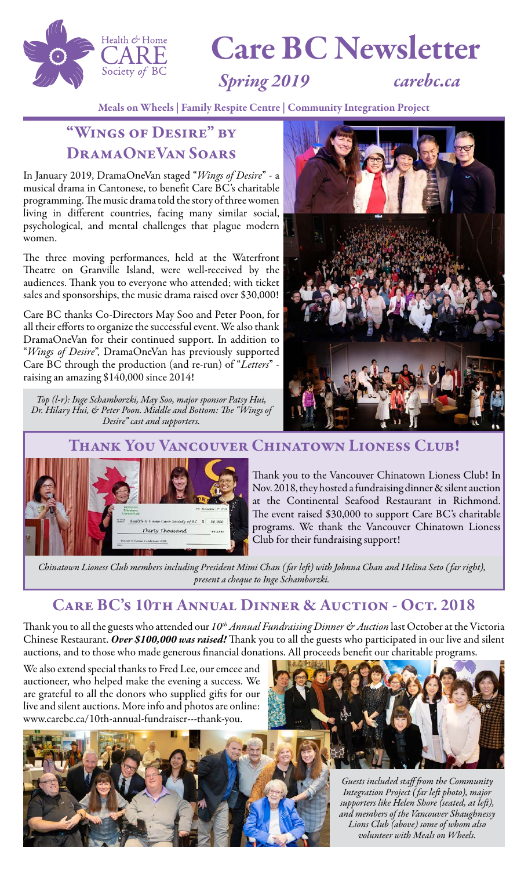

# Care BC Newsletter

## *Spring 2019 [carebc.ca](https://carebc.ca)*

Meals on Wheels | Family Respite Centre | Community Integration Project

## "Wings of Desire" by DramaOneVan Soars

In January 2019, DramaOneVan staged "*Wings of Desire*" - a musical drama in Cantonese, to benefit Care BC's charitable programming. The music drama told the story of three women living in different countries, facing many similar social, psychological, and mental challenges that plague modern women.

The three moving performances, held at the Waterfront Theatre on Granville Island, were well-received by the audiences. Thank you to everyone who attended; with ticket sales and sponsorships, the music drama raised over \$30,000!

Care BC thanks Co-Directors May Soo and Peter Poon, for all their efforts to organize the successful event. We also thank DramaOneVan for their continued support. In addition to "*Wings of Desire*", DramaOneVan has previously supported Care BC through the production (and re-run) of "*Letters*" raising an amazing \$140,000 since 2014!

*Top (l-r): Inge Schamborzki, May Soo, major sponsor Patsy Hui, Dr. Hilary Hui, & Peter Poon. Middle and Bottom: The "Wings of Desire" cast and supporters.*



Thank You Vancouver Chinatown Lioness Club!



Thank you to the Vancouver Chinatown Lioness Club! In Nov. 2018, they hosted a fundraising dinner & silent auction at the Continental Seafood Restaurant in Richmond. The event raised \$30,000 to support Care BC's charitable programs. We thank the Vancouver Chinatown Lioness Club for their fundraising support!

*Chinatown Lioness Club members including President Mimi Chan ( far left) with Johnna Chan and Helina Seto ( far right), present a cheque to Inge Schamborzki.*

#### Care BC's 10th Annual Dinner & Auction - Oct. 2018

Thank you to all the guests who attended our 10<sup>th</sup> Annual Fundraising Dinner & Auction last October at the Victoria Chinese Restaurant. *Over \$100,000 was raised!* Thank you to all the guests who participated in our live and silent auctions, and to those who made generous financial donations. All proceeds benefit our charitable programs.

We also extend special thanks to Fred Lee, our emcee and auctioneer, who helped make the evening a success. We are grateful to all the donors who supplied gifts for our live and silent auctions. More info and photos are online: [www.carebc.ca/10th-annual-fundraiser---thank-you.](https://www.carebc.ca/10th-annual-fundraiser---thank-you)





*Guests included staff from the Community Integration Project ( far left photo), major supporters like Helen Shore (seated, at left), and members of the Vancouver Shaughnessy Lions Club (above) some of whom also volunteer with Meals on Wheels.*